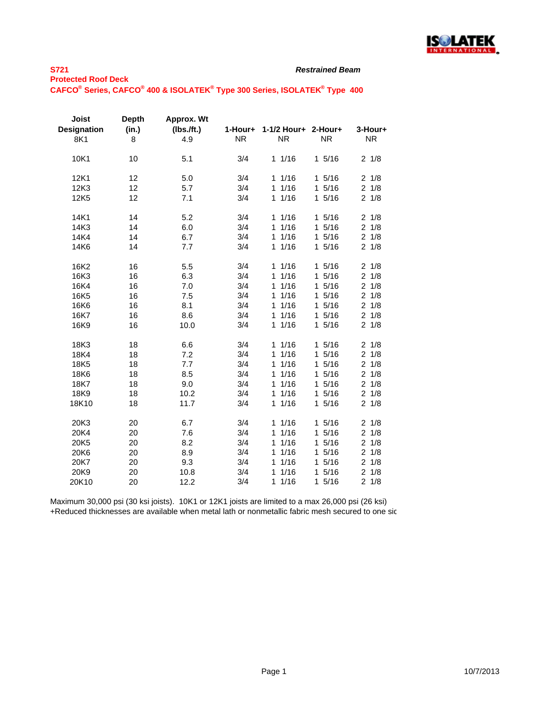

| <b>Joist</b><br><b>Designation</b><br>8K1 | <b>Depth</b><br>(in.)<br>8 | Approx. Wt<br>$(Ibs.$ /ft.)<br>4.9 | 1-Hour+<br><b>NR</b> | 1-1/2 Hour+<br><b>NR</b> | 2-Hour+<br><b>NR</b> | 3-Hour+<br>NR.        |
|-------------------------------------------|----------------------------|------------------------------------|----------------------|--------------------------|----------------------|-----------------------|
| 10K1                                      | 10                         | 5.1                                | 3/4                  | $1 \t1/16$               | 15/16                | $2 \frac{1}{8}$       |
| 12K1                                      | 12                         | 5.0                                | 3/4                  | 11/16                    | 15/16                | $2 \frac{1}{8}$       |
| 12K3                                      | 12                         | 5.7                                | 3/4                  | 1/16<br>1                | 15/16                | $2 \frac{1}{8}$       |
| 12K <sub>5</sub>                          | 12                         | 7.1                                | 3/4                  | 1/16<br>$\mathbf{1}$     | 1 5/16               | $2 \frac{1}{8}$       |
| 14K1                                      | 14                         | 5.2                                | 3/4                  | 1/16<br>1                | 15/16                | 1/8<br>$\overline{2}$ |
| 14K3                                      | 14                         | 6.0                                | 3/4                  | 1/16<br>$\mathbf{1}$     | 1 5/16               | $2 \frac{1}{8}$       |
| 14K4                                      | 14                         | 6.7                                | 3/4                  | 1/16<br>$\mathbf{1}$     | 15/16                | 21/8                  |
| 14K6                                      | 14                         | 7.7                                | 3/4                  | 1/16<br>1                | 15/16                | 21/8                  |
| 16K2                                      | 16                         | 5.5                                | 3/4                  | 11/16                    | 15/16                | 21/8                  |
| 16K3                                      | 16                         | 6.3                                | 3/4                  | 1/16<br>$\mathbf{1}$     | 15/16                | 21/8                  |
| 16K4                                      | 16                         | 7.0                                | 3/4                  | 1/16<br>$\mathbf{1}$     | 15/16                | 1/8<br>$\overline{2}$ |
| 16K <sub>5</sub>                          | 16                         | 7.5                                | 3/4                  | 1/16<br>$\mathbf{1}$     | 15/16                | $2 \frac{1}{8}$       |
| 16K6                                      | 16                         | 8.1                                | 3/4                  | 1/16<br>1.               | 15/16                | 1/8<br>$\overline{2}$ |
| 16K7                                      | 16                         | 8.6                                | 3/4                  | 1/16<br>1.               | 15/16                | $2 \frac{1}{8}$       |
| 16K9                                      | 16                         | 10.0                               | 3/4                  | 1/16<br>$\mathbf{1}$     | 15/16                | 21/8                  |
| 18K3                                      | 18                         | 6.6                                | 3/4                  | 11/16                    | 15/16                | $2 \frac{1}{8}$       |
| 18K4                                      | 18                         | 7.2                                | 3/4                  | 1/16<br>1                | 5/16<br>$\mathbf{1}$ | 1/8<br>$\overline{c}$ |
| 18K5                                      | 18                         | 7.7                                | 3/4                  | 1/16<br>$\mathbf{1}$     | 15/16                | 1/8<br>$\overline{c}$ |
| 18K6                                      | 18                         | 8.5                                | 3/4                  | 1/16<br>1                | 15/16                | 1/8<br>$\overline{c}$ |
| 18K7                                      | 18                         | 9.0                                | 3/4                  | 1/16<br>$\mathbf{1}$     | 15/16                | 1/8<br>$\overline{2}$ |
| 18K9                                      | 18                         | 10.2                               | 3/4                  | 1/16<br>$\mathbf{1}$     | 15/16                | 21/8                  |
| 18K10                                     | 18                         | 11.7                               | 3/4                  | 1/16<br>$\mathbf{1}$     | 15/16                | $2 \frac{1}{8}$       |
| 20K3                                      | 20                         | 6.7                                | 3/4                  | 11/16                    | 15/16                | 21/8                  |
| 20K4                                      | 20                         | 7.6                                | 3/4                  | 1/16<br>$\mathbf{1}$     | 5/16<br>$\mathbf{1}$ | $\overline{2}$<br>1/8 |
| 20K5                                      | 20                         | 8.2                                | 3/4                  | 1/16<br>1                | 15/16                | $\overline{c}$<br>1/8 |
| 20K6                                      | 20                         | 8.9                                | 3/4                  | 1/16<br>1                | 15/16                | 1/8<br>$\overline{2}$ |
| 20K7                                      | 20                         | 9.3                                | 3/4                  | 1/16<br>$\mathbf{1}$     | 15/16                | $2 \frac{1}{8}$       |
| 20K9                                      | 20                         | 10.8                               | 3/4                  | 1/16<br>$\mathbf{1}$     | 15/16                | $2 \frac{1}{8}$       |
| 20K10                                     | 20                         | 12.2                               | 3/4                  | 11/16                    | 15/16                | $2 \frac{1}{8}$       |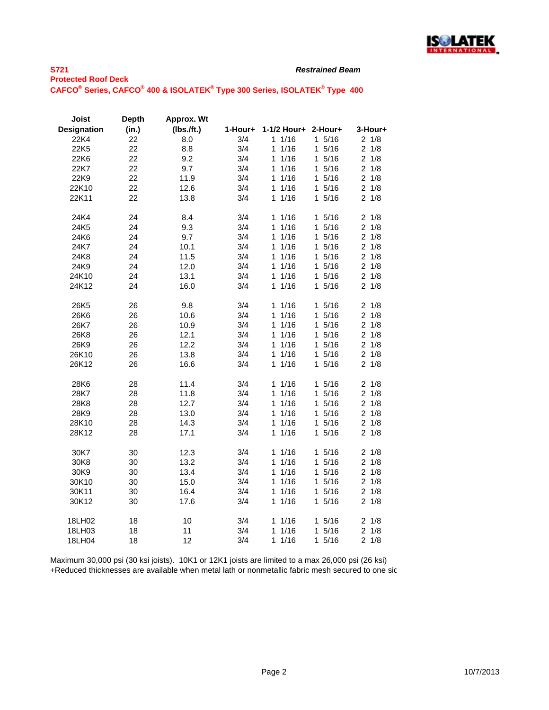

| <b>Joist</b>       | <b>Depth</b> | Approx. Wt    |         |                      |                      |                 |
|--------------------|--------------|---------------|---------|----------------------|----------------------|-----------------|
| <b>Designation</b> | (in.)        | $(lbs.$ /ft.) | 1-Hour+ | 1-1/2 Hour+          | 2-Hour+              | 3-Hour+         |
| 22K4               | 22           | 8.0           | 3/4     | 11/16                | 15/16                | $2 \frac{1}{8}$ |
| 22K5               | 22           | 8.8           | 3/4     | 11/16                | 15/16                | $2 \frac{1}{8}$ |
| 22K6               | 22           | 9.2           | 3/4     | 1/16<br>1            | 15/16                | $2 \frac{1}{8}$ |
| 22K7               | 22           | 9.7           | 3/4     | 11/16                | 15/16                | $2 \frac{1}{8}$ |
| 22K9               | 22           | 11.9          | 3/4     | 11/16                | 15/16                | $2 \frac{1}{8}$ |
| 22K10              | 22           | 12.6          | 3/4     | 11/16                | 15/16                | $2 \frac{1}{8}$ |
| 22K11              | 22           | 13.8          | 3/4     | 1/16<br>1            | 15/16                | $2 \frac{1}{8}$ |
| 24K4               | 24           | 8.4           | 3/4     | 11/16                | 15/16                | $2 \frac{1}{8}$ |
| 24K5               | 24           | 9.3           | 3/4     | 11/16                | 15/16                | $2 \frac{1}{8}$ |
| 24K6               | 24           | 9.7           | 3/4     | 11/16                | 15/16                | $2 \frac{1}{8}$ |
| 24K7               | 24           | 10.1          | 3/4     | 11/16                | 15/16                | $2 \frac{1}{8}$ |
| 24K8               | 24           | 11.5          | 3/4     | 1/16<br>$\mathbf{1}$ | 15/16                | $2 \frac{1}{8}$ |
| 24K9               | 24           | 12.0          | 3/4     | 11/16                | 15/16                | $2 \frac{1}{8}$ |
| 24K10              | 24           | 13.1          | 3/4     | 11/16                | 15/16                | $2 \frac{1}{8}$ |
| 24K12              | 24           | 16.0          | 3/4     | 11/16                | 1 5/16               | $2 \frac{1}{8}$ |
| 26K5               | 26           | 9.8           | 3/4     | 11/16                | $1 \t5/16$           | $2 \frac{1}{8}$ |
| 26K6               | 26           | 10.6          | 3/4     | 11/16                | 15/16                | $2 \frac{1}{8}$ |
| 26K7               | 26           | 10.9          | 3/4     | 1/16<br>1            | 15/16                | $2 \frac{1}{8}$ |
| 26K8               | 26           | 12.1          | 3/4     | 1/16<br>1            | 15/16                | $2 \frac{1}{8}$ |
| 26K9               | 26           | 12.2          | 3/4     | 11/16                | 15/16                | $2 \frac{1}{8}$ |
| 26K10              | 26           | 13.8          | 3/4     | 11/16                | 15/16                | $2 \frac{1}{8}$ |
| 26K12              | 26           | 16.6          | 3/4     | 11/16                | 15/16                | $2 \frac{1}{8}$ |
| 28K6               | 28           | 11.4          | 3/4     | 11/16                | 15/16                | 21/8            |
| 28K7               | 28           | 11.8          | 3/4     | 11/16                | 15/16                | $2 \frac{1}{8}$ |
| 28K8               | 28           | 12.7          | 3/4     | 1/16<br>1            | 15/16                | $2 \frac{1}{8}$ |
| 28K9               | 28           | 13.0          | 3/4     | 11/16                | 15/16                | $2 \frac{1}{8}$ |
| 28K10              | 28           | 14.3          | 3/4     | 1/16<br>1.           | 1 5/16               | $2 \frac{1}{8}$ |
| 28K12              | 28           | 17.1          | 3/4     | 1/16<br>1            | 15/16                | $2 \frac{1}{8}$ |
| 30K7               | 30           | 12.3          | 3/4     | 11/16                | 15/16                | 21/8            |
| 30K8               | 30           | 13.2          | 3/4     | 11/16                | 15/16                | $2 \frac{1}{8}$ |
| 30K9               | 30           | 13.4          | 3/4     | 1/16<br>1            | 15/16                | $2 \frac{1}{8}$ |
| 30K10              | 30           | 15.0          | 3/4     | 1/16<br>1            | 15/16                | $2 \frac{1}{8}$ |
| 30K11              | 30           | 16.4          | 3/4     | 1/16<br>1            | 15/16                | $2 \frac{1}{8}$ |
| 30K12              | 30           | 17.6          | 3/4     | 11/16                | 15/16                | $2 \frac{1}{8}$ |
| 18LH02             | 18           | 10            | 3/4     | 11/16                | 15/16                | $2 \frac{1}{8}$ |
| 18LH03             | 18           | 11            | 3/4     | 11/16                | 15/16                | $2 \frac{1}{8}$ |
| 18LH04             | 18           | 12            | 3/4     | 1/16<br>1            | 5/16<br>$\mathbf{1}$ | $2 \frac{1}{8}$ |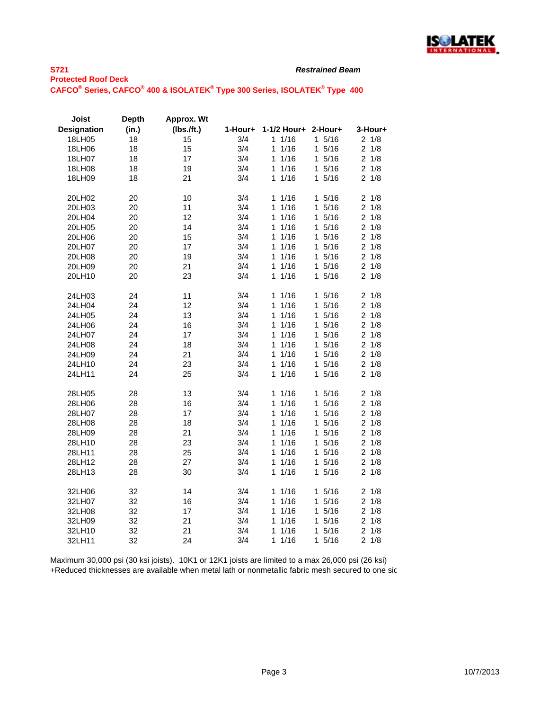

| Joist              | <b>Depth</b> | Approx. Wt    |         |                     |            |                 |
|--------------------|--------------|---------------|---------|---------------------|------------|-----------------|
| <b>Designation</b> | (in.)        | $(Ibs.$ /ft.) | 1-Hour+ | 1-1/2 Hour+         | 2-Hour+    | 3-Hour+         |
| 18LH05             | 18           | 15            | 3/4     | 11/16               | 15/16      | 2 1/8           |
| 18LH06             | 18           | 15            | 3/4     | 1/16<br>1           | 15/16      | $2 \frac{1}{8}$ |
| 18LH07             | 18           | 17            | 3/4     | 1/16<br>1           | 15/16      | 21/8            |
| 18LH08             | 18           | 19            | 3/4     | 1/16<br>1           | 15/16      | $2 \frac{1}{8}$ |
| 18LH09             | 18           | 21            | 3/4     | 1/16<br>1           | 15/16      | $2 \frac{1}{8}$ |
| 20LH02             | 20           | 10            | 3/4     | 11/16               | 15/16      | $2 \frac{1}{8}$ |
| 20LH03             | 20           | 11            | 3/4     | 1/16<br>1           | 15/16      | $2 \frac{1}{8}$ |
| 20LH04             | 20           | 12            | 3/4     | 1/16<br>1           | 15/16      | 21/8            |
| 20LH05             | 20           | 14            | 3/4     | 11/16               | 15/16      | $2 \frac{1}{8}$ |
| 20LH06             | 20           | 15            | 3/4     | 1/16<br>1           | 15/16      | 21/8            |
| 20LH07             | 20           | 17            | 3/4     | 1/16<br>1           | 15/16      | $2 \frac{1}{8}$ |
| 20LH08             | 20           | 19            | 3/4     | 1/16<br>$\mathbf 1$ | 15/16      | $2 \frac{1}{8}$ |
| 20LH09             | 20           | 21            | 3/4     | 1/16<br>1           | 15/16      | $2 \frac{1}{8}$ |
| 20LH10             | 20           | 23            | 3/4     | 1/16<br>1           | 15/16      | $2 \frac{1}{8}$ |
| 24LH03             | 24           | 11            | 3/4     | 11/16               | 15/16      | $2 \frac{1}{8}$ |
| 24LH04             | 24           | 12            | 3/4     | 1/16<br>1           | 15/16      | $2 \frac{1}{8}$ |
| 24LH05             | 24           | 13            | 3/4     | 1/16<br>1           | 15/16      | $2 \frac{1}{8}$ |
| 24LH06             | 24           | 16            | 3/4     | 1/16<br>1           | 15/16      | $2 \frac{1}{8}$ |
| 24LH07             | 24           | 17            | 3/4     | 1/16<br>1           | 15/16      | $2 \frac{1}{8}$ |
| 24LH08             | 24           | 18            | 3/4     | 1/16<br>1           | 15/16      | 21/8            |
| 24LH09             | 24           | 21            | 3/4     | 1/16<br>1           | 15/16      | 21/8            |
| 24LH10             | 24           | 23            | 3/4     | 1/16<br>1           | 15/16      | $2 \frac{1}{8}$ |
| 24LH11             | 24           | 25            | 3/4     | 1/16<br>1           | 15/16      | $2 \frac{1}{8}$ |
| 28LH05             | 28           | 13            | 3/4     | 11/16               | 15/16      | 21/8            |
| 28LH06             | 28           | 16            | 3/4     | 1/16<br>1           | 15/16      | $2 \frac{1}{8}$ |
| 28LH07             | 28           | 17            | 3/4     | 1/16<br>1           | 15/16      | 21/8            |
| 28LH08             | 28           | 18            | 3/4     | 1/16<br>1           | 15/16      | $2 \frac{1}{8}$ |
| 28LH09             | 28           | 21            | 3/4     | 1/16<br>1           | 15/16      | $2 \frac{1}{8}$ |
| 28LH10             | 28           | 23            | 3/4     | 1/16<br>1           | 15/16      | 21/8            |
| 28LH11             | 28           | 25            | 3/4     | 1/16<br>1           | 15/16      | $2 \frac{1}{8}$ |
| 28LH12             | 28           | 27            | 3/4     | 1/16<br>1           | 15/16      | $2 \frac{1}{8}$ |
| 28LH13             | 28           | 30            | 3/4     | 1/16<br>1           | 15/16      | 21/8            |
| 32LH06             | 32           | 14            | 3/4     | 11/16               | 15/16      | $2 \frac{1}{8}$ |
| 32LH07             | 32           | 16            | 3/4     | 1/16<br>1           | 15/16      | $2 \frac{1}{8}$ |
| 32LH08             | 32           | 17            | 3/4     | 1/16<br>1           | 15/16      | $2 \frac{1}{8}$ |
| 32LH09             | 32           | 21            | 3/4     | 1/16<br>1           | 15/16      | $2 \frac{1}{8}$ |
| 32LH10             | 32           | 21            | 3/4     | 1/16<br>1           | 15/16      | 21/8            |
| 32LH11             | 32           | 24            | 3/4     | 1/16<br>1           | 5/16<br>1. | 21/8            |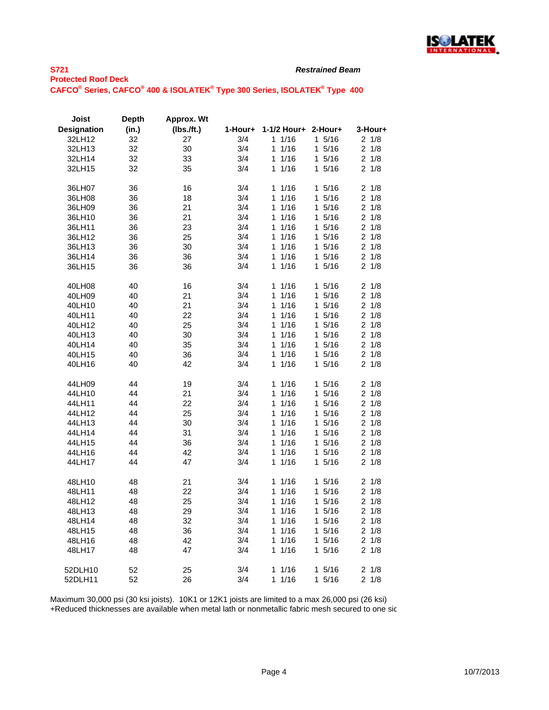

| Joist              | <b>Depth</b> | Approx. Wt |         |             |           |                       |
|--------------------|--------------|------------|---------|-------------|-----------|-----------------------|
| <b>Designation</b> | (in.)        | (Ibs.ft.)  | 1-Hour+ | 1-1/2 Hour+ | 2-Hour+   | 3-Hour+               |
| 32LH12             | 32           | 27         | 3/4     | 11/16       | 15/16     | 21/8                  |
| 32LH13             | 32           | 30         | 3/4     | 1/16<br>1   | 15/16     | 21/8                  |
| 32LH14             | 32           | 33         | 3/4     | 1/16<br>1   | 15/16     | 1/8<br>2              |
| 32LH15             | 32           | 35         | 3/4     | 1/16<br>1   | 15/16     | 21/8                  |
|                    |              |            |         |             |           |                       |
| 36LH07             | 36           | 16         | 3/4     | 11/16       | 15/16     | 21/8                  |
| 36LH08             | 36           | 18         | 3/4     | 1/16<br>1   | 15/16     | $\overline{2}$<br>1/8 |
| 36LH09             | 36           | 21         | 3/4     | 1/16<br>1   | 1 5/16    | 1/8<br>2              |
| 36LH10             | 36           | 21         | 3/4     | 1/16<br>1   | 15/16     | $\overline{2}$<br>1/8 |
| 36LH11             | 36           | 23         | 3/4     | 1/16<br>1   | 15/16     | 2<br>1/8              |
| 36LH12             | 36           | 25         | 3/4     | 1/16<br>1   | 15/16     | $\overline{2}$<br>1/8 |
| 36LH13             | 36           | 30         | 3/4     | 1/16<br>1   | 15/16     | 21/8                  |
|                    |              |            |         | 1/16        | 1 5/16    |                       |
| 36LH14             | 36           | 36         | 3/4     | 1           |           | 21/8                  |
| 36LH15             | 36           | 36         | 3/4     | 1/16<br>1   | 15/16     | $\overline{2}$<br>1/8 |
| 40LH08             | 40           | 16         | 3/4     | 1/16<br>1   | 15/16     | 1/8<br>2              |
| 40LH09             | 40           | 21         | 3/4     | 1/16<br>1   | 1 5/16    | $\overline{c}$<br>1/8 |
| 40LH10             | 40           | 21         | 3/4     | 1/16<br>1   | 15/16     | 2<br>1/8              |
| 40LH11             | 40           | 22         | 3/4     | 1<br>1/16   | 5/16<br>1 | $\overline{2}$<br>1/8 |
| 40LH12             | 40           | 25         | 3/4     | 1/16<br>1   | 15/16     | 21/8                  |
| 40LH13             | 40           | 30         | 3/4     | 1/16<br>1   | 15/16     | 21/8                  |
| 40LH14             | 40           | 35         | 3/4     | 11/16       | 1 5/16    | 21/8                  |
| 40LH15             | 40           | 36         | 3/4     | 1/16<br>1   | 15/16     | $\overline{2}$<br>1/8 |
| 40LH16             | 40           | 42         | 3/4     | 1/16<br>1   | 1 5/16    | 1/8<br>2              |
|                    |              |            |         |             |           |                       |
| 44LH09             | 44           | 19         | 3/4     | 1/16<br>1   | 1 5/16    | 1/8<br>2              |
| 44LH10             | 44           | 21         | 3/4     | 1<br>1/16   | 15/16     | $\overline{2}$<br>1/8 |
| 44LH11             | 44           | 22         | 3/4     | 1/16<br>1   | 15/16     | 1/8<br>$\overline{2}$ |
| 44LH12             | 44           | 25         | 3/4     | 1/16<br>1   | 1 5/16    | 21/8                  |
| 44LH13             | 44           | 30         | 3/4     | 1/16<br>1   | 15/16     | 2<br>1/8              |
| 44LH14             | 44           | 31         | 3/4     | 1/16<br>1   | 15/16     | 1/8<br>2              |
| 44LH15             | 44           | 36         | 3/4     | 1/16<br>1   | 15/16     | $\overline{2}$<br>1/8 |
| 44LH16             | 44           | 42         | 3/4     | 1/16<br>1   | 15/16     | 2<br>1/8              |
| 44LH17             | 44           | 47         | 3/4     | 1/16<br>1   | 1 5/16    | 21/8                  |
|                    |              |            |         |             |           |                       |
| 48LH10             | 48           | 21         | 3/4     | 1/16<br>1   | 15/16     | 21/8                  |
| 48LH11             | 48           | 22         | 3/4     | 1/16<br>1   | 15/16     | 1/8<br>2              |
| 48LH12             | 48           | 25         | 3/4     | 1/16<br>1   | 1 5/16    | 2<br>1/8              |
| 48LH13             | 48           | 29         | 3/4     | 1/16<br>1   | 15/16     | $\overline{2}$<br>1/8 |
| 48LH14             | 48           | 32         | 3/4     | 1/16<br>1   | 15/16     | 21/8                  |
| 48LH15             | 48           | 36         | 3/4     | 1/16<br>1   | 15/16     | 21/8                  |
| 48LH16             | 48           | 42         | 3/4     | 1/16<br>1   | 15/16     | 2<br>1/8              |
| 48LH17             | 48           | 47         | 3/4     | 1/16<br>1   | 15/16     | 1/8<br>2              |
|                    |              |            |         |             |           |                       |
| 52DLH10            | 52           | 25         | 3/4     | 1/16<br>1   | 15/16     | 2<br>1/8              |
| 52DLH11            | 52           | 26         | 3/4     | 1/16<br>1   | 15/16     | 2<br>1/8              |